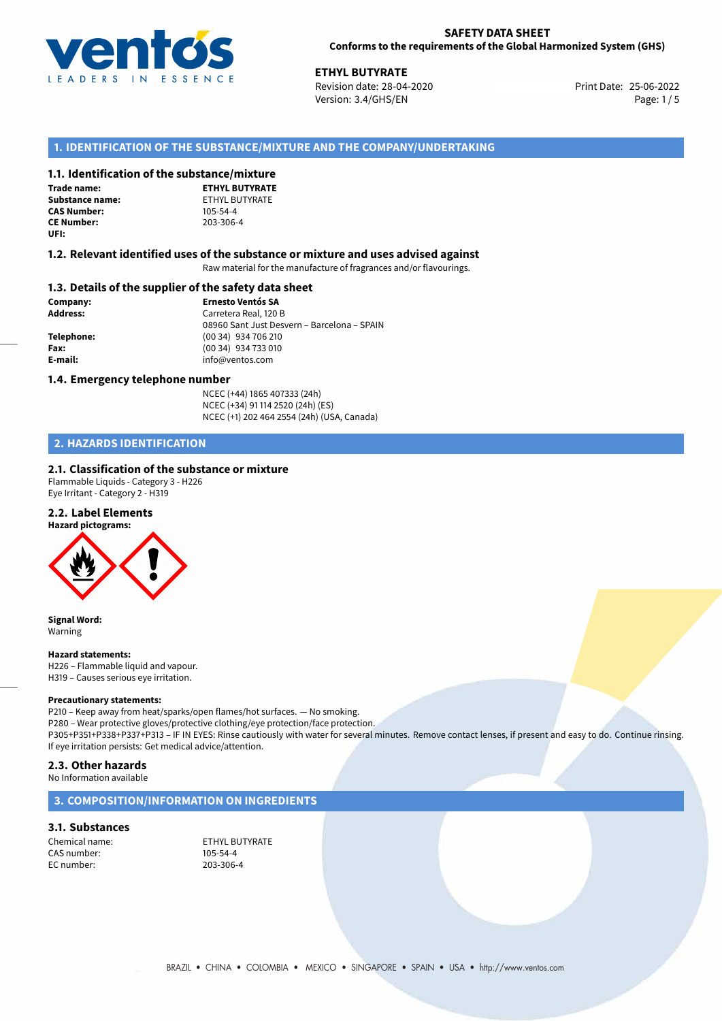

25-06-2022 **ETHYL BUTYRATE** Revision date: 28-04-2020 Print Date: Version: 3.4/GHS/EN Page: 1/5

### **1. IDENTIFICATION OF THE SUBSTANCE/MIXTURE AND THE COMPANY/UNDERTAKING**

### **1.1. Identification of the substance/mixture**

**Trade name: CAS Number: CE Number:** 203-306-4 **UFI:**

**ETHYL BUTYRATE Substance name:** ETHYL BUTYRATE<br> **CAS Number:** 105-54-4

### **1.2. Relevant identified uses of the substance or mixture and uses advised against**

Raw material for the manufacture of fragrances and/or flavourings.

### **1.3. Details of the supplier of the safety data sheet**

**Company: Ernesto Ventós SA Address:** Carretera Real, 120 B 08960 Sant Just Desvern – Barcelona – SPAIN **Telephone:** (00 34) 934 706 210 **Fax:** (00 34) 934 733 010 **E-mail:** info@ventos.com

### **1.4. Emergency telephone number**

NCEC (+44) 1865 407333 (24h) NCEC (+34) 91 114 2520 (24h) (ES) NCEC (+1) 202 464 2554 (24h) (USA, Canada)

### **2. HAZARDS IDENTIFICATION**

### **2.1. Classification of the substance or mixture**

Flammable Liquids - Category 3 - H226 Eye Irritant - Category 2 - H319

### **2.2. Label Elements**



**Signal Word:** Warning

#### **Hazard statements:**

H226 – Flammable liquid and vapour. H319 – Causes serious eye irritation.

#### **Precautionary statements:**

P210 – Keep away from heat/sparks/open flames/hot surfaces. — No smoking. P280 – Wear protective gloves/protective clothing/eye protection/face protection. P305+P351+P338+P337+P313 – IF IN EYES: Rinse cautiously with water for several minutes. Remove contact lenses, if present and easy to do. Continue rinsing. If eye irritation persists: Get medical advice/attention.

### **2.3. Other hazards**

No Information available

### **3. COMPOSITION/INFORMATION ON INGREDIENTS**

### **3.1. Substances**

CAS number: EC number: 203-306-4

Chemical name:<br>
CAS number: 
ETHYL BUTYRATE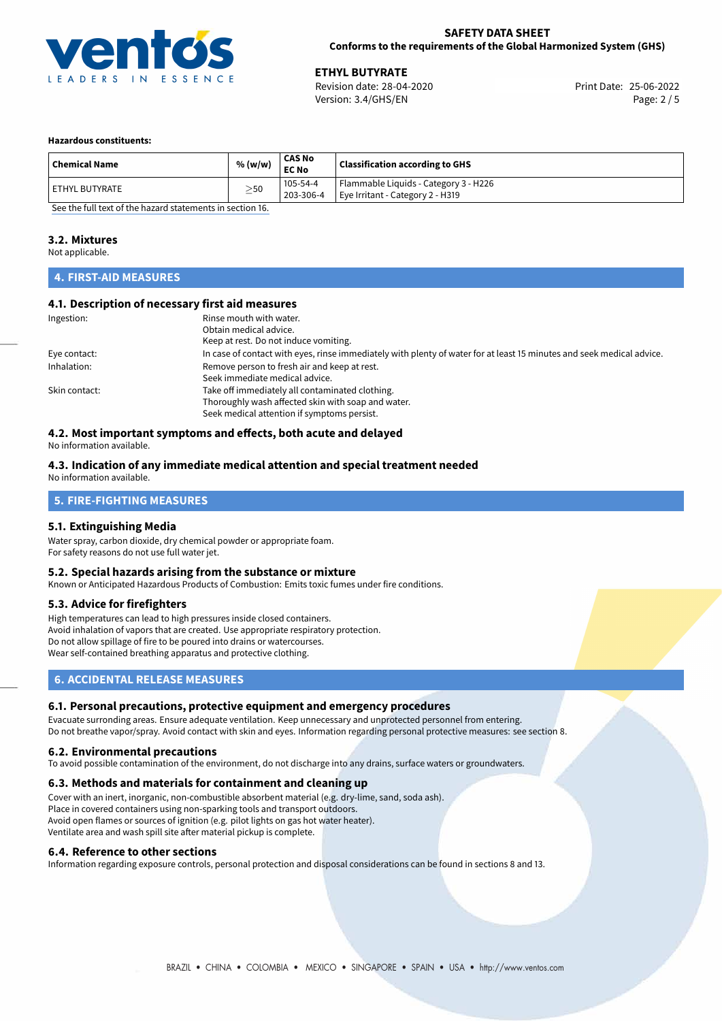

**ETHYL BUTYRATE**<br>
Revision date: 28-04-2020 **Print Date: 25-06-2022** Version: 3.4/GHS/EN Page: 2 / 5

### **Hazardous constituents:**

| 105-54-4<br>l ETHYL BUTYRATE                               |                                       |
|------------------------------------------------------------|---------------------------------------|
| $\geq$ 50<br>203-306-4<br>Eye Irritant - Category 2 - H319 | Flammable Liquids - Category 3 - H226 |

[See the full text of the hazard statements in section 16.](#page-4-0)

### **3.2. Mixtures**

Not applicable.

### **4. FIRST-AID MEASURES**

### **4.1. Description of necessary first aid measures**

| Ingestion:    | Rinse mouth with water.<br>Obtain medical advice.<br>Keep at rest. Do not induce vomiting.                                                           |
|---------------|------------------------------------------------------------------------------------------------------------------------------------------------------|
| Eye contact:  | In case of contact with eyes, rinse immediately with plenty of water for at least 15 minutes and seek medical advice.                                |
| Inhalation:   | Remove person to fresh air and keep at rest.<br>Seek immediate medical advice.                                                                       |
| Skin contact: | Take off immediately all contaminated clothing.<br>Thoroughly wash affected skin with soap and water.<br>Seek medical attention if symptoms persist. |

## **4.2. Most important symptoms and effects, both acute and delayed**

No information available.

#### **4.3. Indication of any immediate medical attention and special treatment needed** No information available.

# **5. FIRE-FIGHTING MEASURES**

### **5.1. Extinguishing Media**

Water spray, carbon dioxide, dry chemical powder or appropriate foam. For safety reasons do not use full water jet.

### **5.2. Special hazards arising from the substance or mixture**

Known or Anticipated Hazardous Products of Combustion: Emits toxic fumes under fire conditions.

### **5.3. Advice for firefighters**

High temperatures can lead to high pressures inside closed containers. Avoid inhalation of vapors that are created. Use appropriate respiratory protection. Do not allow spillage of fire to be poured into drains or watercourses. Wear self-contained breathing apparatus and protective clothing.

### **6. ACCIDENTAL RELEASE MEASURES**

### **6.1. Personal precautions, protective equipment and emergency procedures**

Evacuate surronding areas. Ensure adequate ventilation. Keep unnecessary and unprotected personnel from entering. Do not breathe vapor/spray. Avoid contact with skin and eyes. Information regarding personal protective measures: see section 8.

### **6.2. Environmental precautions**

To avoid possible contamination of the environment, do not discharge into any drains, surface waters or groundwaters.

### **6.3. Methods and materials for containment and cleaning up**

Cover with an inert, inorganic, non-combustible absorbent material (e.g. dry-lime, sand, soda ash). Place in covered containers using non-sparking tools and transport outdoors. Avoid open flames or sources of ignition (e.g. pilot lights on gas hot water heater). Ventilate area and wash spill site after material pickup is complete.

### **6.4. Reference to other sections**

Information regarding exposure controls, personal protection and disposal considerations can be found in sections 8 and 13.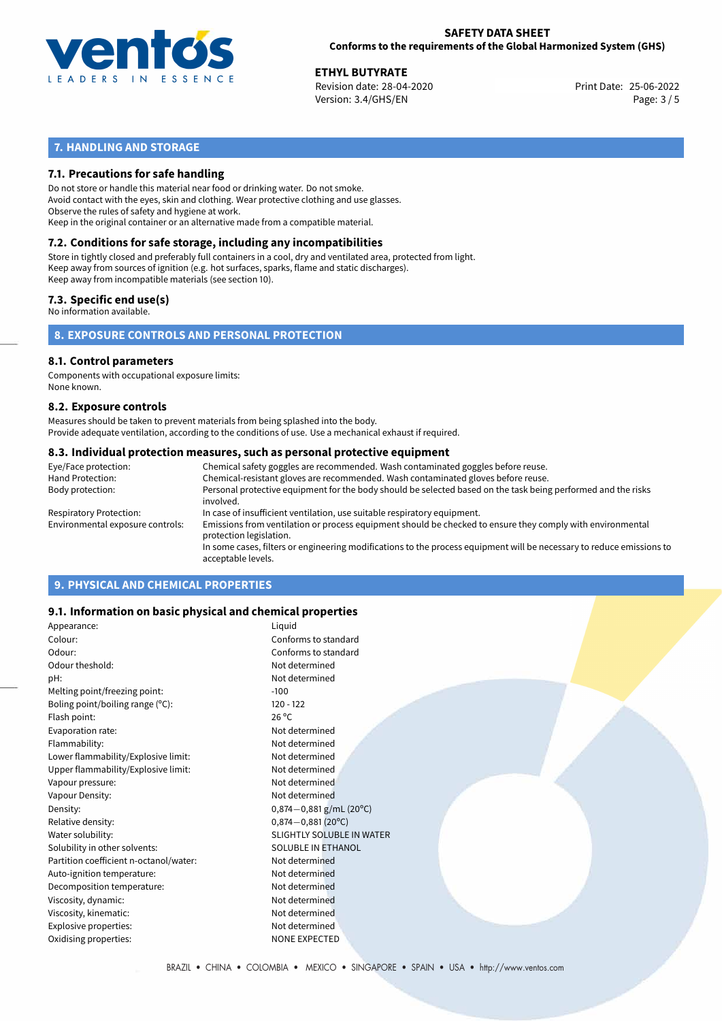

**ETHYL BUTYRATE**<br>
Revision date: 28-04-2020 **Print Date: 25-06-2022** Version: 3.4/GHS/EN Page: 3 / 5

### **7. HANDLING AND STORAGE**

### **7.1. Precautions for safe handling**

Do not store or handle this material near food or drinking water. Do not smoke. Avoid contact with the eyes, skin and clothing. Wear protective clothing and use glasses. Observe the rules of safety and hygiene at work. Keep in the original container or an alternative made from a compatible material.

## **7.2. Conditions for safe storage, including any incompatibilities**

Store in tightly closed and preferably full containers in a cool, dry and ventilated area, protected from light. Keep away from sources of ignition (e.g. hot surfaces, sparks, flame and static discharges). Keep away from incompatible materials (see section 10).

### **7.3. Specific end use(s)**

No information available.

**8. EXPOSURE CONTROLS AND PERSONAL PROTECTION**

## **8.1. Control parameters**

Components with occupational exposure limits: None known.

### **8.2. Exposure controls**

Measures should be taken to prevent materials from being splashed into the body. Provide adequate ventilation, according to the conditions of use. Use a mechanical exhaust if required.

### **8.3. Individual protection measures, such as personal protective equipment**

| Eye/Face protection:             | Chemical safety goggles are recommended. Wash contaminated goggles before reuse.                                                            |
|----------------------------------|---------------------------------------------------------------------------------------------------------------------------------------------|
| Hand Protection:                 | Chemical-resistant gloves are recommended. Wash contaminated gloves before reuse.                                                           |
| Body protection:                 | Personal protective equipment for the body should be selected based on the task being performed and the risks<br>involved.                  |
| Respiratory Protection:          | In case of insufficient ventilation, use suitable respiratory equipment.                                                                    |
| Environmental exposure controls: | Emissions from ventilation or process equipment should be checked to ensure they comply with environmental<br>protection legislation.       |
|                                  | In some cases, filters or engineering modifications to the process equipment will be necessary to reduce emissions to<br>acceptable levels. |
|                                  |                                                                                                                                             |

### **9. PHYSICAL AND CHEMICAL PROPERTIES**

### **9.1. Information on basic physical and chemical properties**

| Appearance:                            | Liguid                           |  |
|----------------------------------------|----------------------------------|--|
| Colour:                                | Conforms to standard             |  |
| Odour:                                 | Conforms to standard             |  |
| Odour theshold:                        | Not determined                   |  |
| pH:                                    | Not determined                   |  |
| Melting point/freezing point:          | $-100$                           |  |
| Boling point/boiling range (°C):       | $120 - 122$                      |  |
| Flash point:                           | $26^{\circ}$ C                   |  |
| Evaporation rate:                      | Not determined                   |  |
| Flammability:                          | Not determined                   |  |
| Lower flammability/Explosive limit:    | Not determined                   |  |
| Upper flammability/Explosive limit:    | Not determined                   |  |
| Vapour pressure:                       | Not determined                   |  |
| Vapour Density:                        | Not determined                   |  |
| Density:                               | $0,874-0,881$ g/mL (20°C)        |  |
| Relative density:                      | $0.874 - 0.881(20^{\circ}C)$     |  |
| Water solubility:                      | <b>SLIGHTLY SOLUBLE IN WATER</b> |  |
| Solubility in other solvents:          | SOLUBLE IN ETHANOL               |  |
| Partition coefficient n-octanol/water: | Not determined                   |  |
| Auto-ignition temperature:             | Not determined                   |  |
| Decomposition temperature:             | Not determined                   |  |
| Viscosity, dynamic:                    | Not determined                   |  |
| Viscosity, kinematic:                  | Not determined                   |  |
| Explosive properties:                  | Not determined                   |  |
| Oxidising properties:                  | <b>NONE EXPECTED</b>             |  |
|                                        |                                  |  |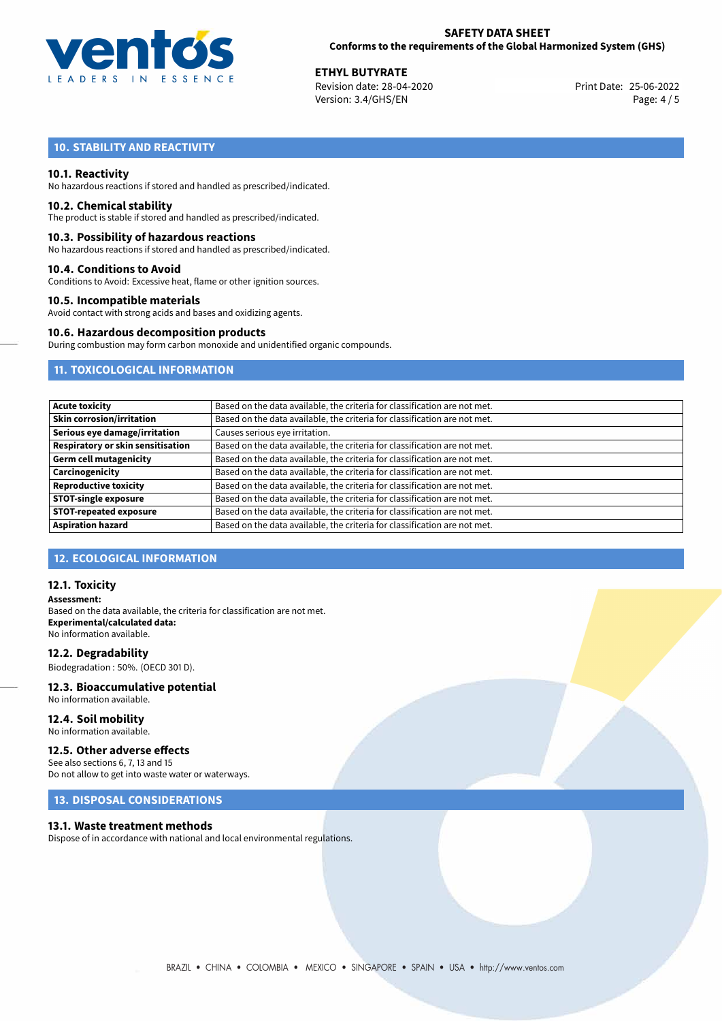

**ETHYL BUTYRATE**<br>
Revision date: 28-04-2020 **Print Date: 25-06-2022** Version: 3.4/GHS/EN Page: 4 / 5

## **10. STABILITY AND REACTIVITY**

### **10.1. Reactivity**

No hazardous reactions if stored and handled as prescribed/indicated.

### **10.2. Chemical stability**

The product is stable if stored and handled as prescribed/indicated.

### **10.3. Possibility of hazardous reactions**

No hazardous reactions if stored and handled as prescribed/indicated.

### **10.4. Conditions to Avoid**

Conditions to Avoid: Excessive heat, flame or other ignition sources.

### **10.5. Incompatible materials**

Avoid contact with strong acids and bases and oxidizing agents.

### **10.6. Hazardous decomposition products**

During combustion may form carbon monoxide and unidentified organic compounds.

### **11. TOXICOLOGICAL INFORMATION**

| Acute toxicity                    | Based on the data available, the criteria for classification are not met. |
|-----------------------------------|---------------------------------------------------------------------------|
| Skin corrosion/irritation         | Based on the data available, the criteria for classification are not met. |
| Serious eye damage/irritation     | Causes serious eye irritation.                                            |
| Respiratory or skin sensitisation | Based on the data available, the criteria for classification are not met. |
| Germ cell mutagenicity            | Based on the data available, the criteria for classification are not met. |
| Carcinogenicity                   | Based on the data available, the criteria for classification are not met. |
| Reproductive toxicity             | Based on the data available, the criteria for classification are not met. |
| <b>STOT-single exposure</b>       | Based on the data available, the criteria for classification are not met. |
| <b>STOT-repeated exposure</b>     | Based on the data available, the criteria for classification are not met. |
| <b>Aspiration hazard</b>          | Based on the data available, the criteria for classification are not met. |

### **12. ECOLOGICAL INFORMATION**

### **12.1. Toxicity**

**Assessment:** Based on the data available, the criteria for classification are not met. **Experimental/calculated data:** No information available.

**12.2. Degradability** Biodegradation : 50%. (OECD 301 D).

## **12.3. Bioaccumulative potential**

No information available.

**12.4. Soil mobility** No information available.

### **12.5. Other adverse effects**

See also sections 6, 7, 13 and 15 Do not allow to get into waste water or waterways.

### **13. DISPOSAL CONSIDERATIONS**

### **13.1. Waste treatment methods**

Dispose of in accordance with national and local environmental regulations.